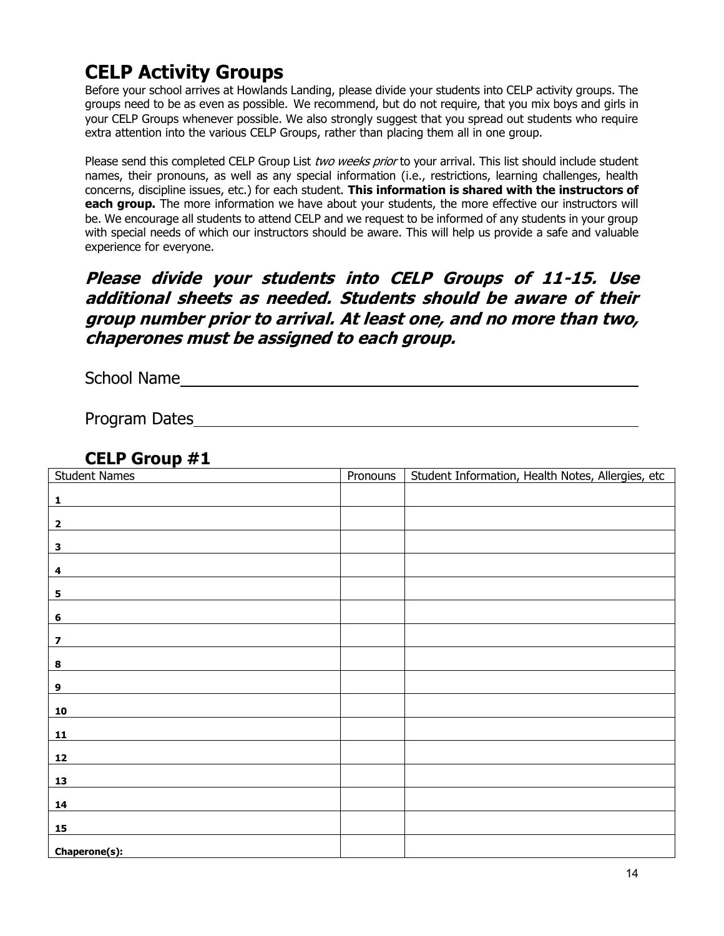# **CELP Activity Groups**

Before your school arrives at Howlands Landing, please divide your students into CELP activity groups. The groups need to be as even as possible. We recommend, but do not require, that you mix boys and girls in your CELP Groups whenever possible. We also strongly suggest that you spread out students who require extra attention into the various CELP Groups, rather than placing them all in one group.

Please send this completed CELP Group List two weeks prior to your arrival. This list should include student names, their pronouns, as well as any special information (i.e., restrictions, learning challenges, health concerns, discipline issues, etc.) for each student. **This information is shared with the instructors of each group.** The more information we have about your students, the more effective our instructors will be. We encourage all students to attend CELP and we request to be informed of any students in your group with special needs of which our instructors should be aware. This will help us provide a safe and valuable experience for everyone.

**Please divide your students into CELP Groups of 11-15. Use additional sheets as needed. Students should be aware of their group number prior to arrival. At least one, and no more than two, chaperones must be assigned to each group.**

School Name

Program Dates

| <b>Student Names</b>    | Pronouns | Student Information, Health Notes, Allergies, etc |
|-------------------------|----------|---------------------------------------------------|
| $\mathbf 1$             |          |                                                   |
| $\mathbf 2$             |          |                                                   |
| ${\bf 3}$               |          |                                                   |
| 4                       |          |                                                   |
| 5                       |          |                                                   |
| 6                       |          |                                                   |
| $\overline{\mathbf{z}}$ |          |                                                   |
| 8                       |          |                                                   |
| $\boldsymbol{9}$        |          |                                                   |
| 10                      |          |                                                   |
| <u>11</u>               |          |                                                   |
| <u>12</u>               |          |                                                   |
| 13                      |          |                                                   |
| 14                      |          |                                                   |
| ${\bf 15}$              |          |                                                   |
| Chaperone(s):           |          |                                                   |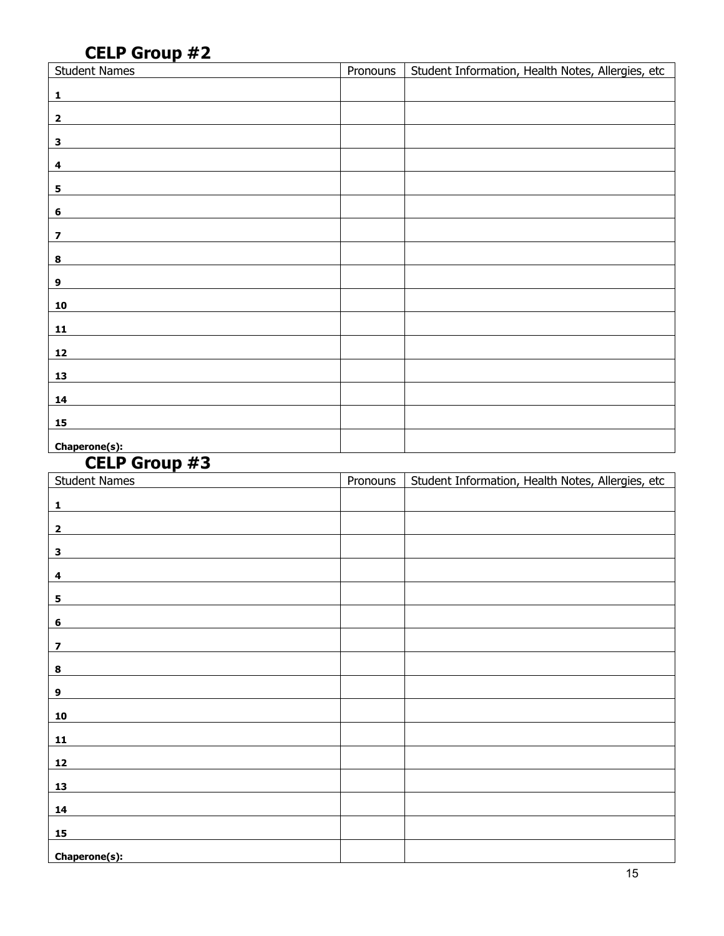| <b>Student Names</b>    | Pronouns | Student Information, Health Notes, Allergies, etc |
|-------------------------|----------|---------------------------------------------------|
| $\mathbf 1$             |          |                                                   |
| $\mathbf{2}$            |          |                                                   |
| $\overline{\mathbf{3}}$ |          |                                                   |
| $\overline{\mathbf{4}}$ |          |                                                   |
| ${\bf 5}$               |          |                                                   |
| $\bf 6$                 |          |                                                   |
| $\boldsymbol{7}$        |          |                                                   |
| $\boldsymbol{8}$        |          |                                                   |
| $\overline{9}$          |          |                                                   |
| 10                      |          |                                                   |
| 11                      |          |                                                   |
| $12$                    |          |                                                   |
| <u>13</u>               |          |                                                   |
| 14                      |          |                                                   |
| 15                      |          |                                                   |
| Chaperone(s):           |          |                                                   |

| <b>Student Names</b>    | Pronouns | Student Information, Health Notes, Allergies, etc |
|-------------------------|----------|---------------------------------------------------|
|                         |          |                                                   |
| $\mathbf 1$             |          |                                                   |
| $\overline{2}$          |          |                                                   |
| ${\bf 3}$               |          |                                                   |
| $\overline{\mathbf{4}}$ |          |                                                   |
| $\overline{\mathbf{5}}$ |          |                                                   |
| $\bf 6$                 |          |                                                   |
| $\overline{\mathbf{z}}$ |          |                                                   |
| 8                       |          |                                                   |
| 9                       |          |                                                   |
| 10                      |          |                                                   |
| $\frac{11}{1}$          |          |                                                   |
| 12                      |          |                                                   |
| <u>13</u>               |          |                                                   |
| 14                      |          |                                                   |
| 15                      |          |                                                   |
| Chaperone(s):           |          |                                                   |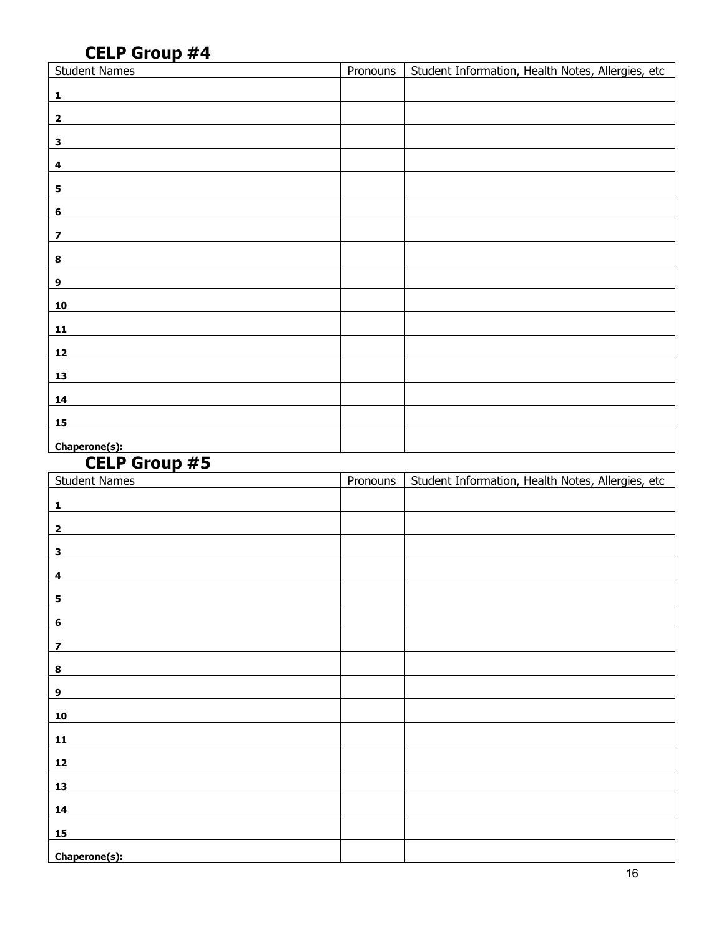| <b>Student Names</b>    | Pronouns | Student Information, Health Notes, Allergies, etc |
|-------------------------|----------|---------------------------------------------------|
| $\mathbf{1}$            |          |                                                   |
| $\overline{\mathbf{2}}$ |          |                                                   |
| $\overline{\mathbf{3}}$ |          |                                                   |
| $\overline{\mathbf{4}}$ |          |                                                   |
| $\overline{\mathbf{5}}$ |          |                                                   |
| $\bf 6$                 |          |                                                   |
| $\overline{\mathbf{z}}$ |          |                                                   |
| $\bf{8}$                |          |                                                   |
| $\overline{9}$          |          |                                                   |
| 10                      |          |                                                   |
| 11                      |          |                                                   |
| $\frac{12}{1}$          |          |                                                   |
| <u>13</u>               |          |                                                   |
| 14                      |          |                                                   |
| 15                      |          |                                                   |
| Chaperone(s):           |          |                                                   |

| <b>Student Names</b>    | Pronouns | Student Information, Health Notes, Allergies, etc |
|-------------------------|----------|---------------------------------------------------|
|                         |          |                                                   |
| 1                       |          |                                                   |
| $\overline{2}$          |          |                                                   |
| $\mathbf 3$             |          |                                                   |
| 4                       |          |                                                   |
| 5                       |          |                                                   |
| $\boldsymbol{6}$        |          |                                                   |
| $\overline{\mathbf{z}}$ |          |                                                   |
| $\pmb{8}$               |          |                                                   |
| 9                       |          |                                                   |
| 10                      |          |                                                   |
| $\frac{11}{1}$          |          |                                                   |
| <u>12</u>               |          |                                                   |
| <u>13</u>               |          |                                                   |
| 14                      |          |                                                   |
| <b>15</b>               |          |                                                   |
| Chaperone(s):           |          |                                                   |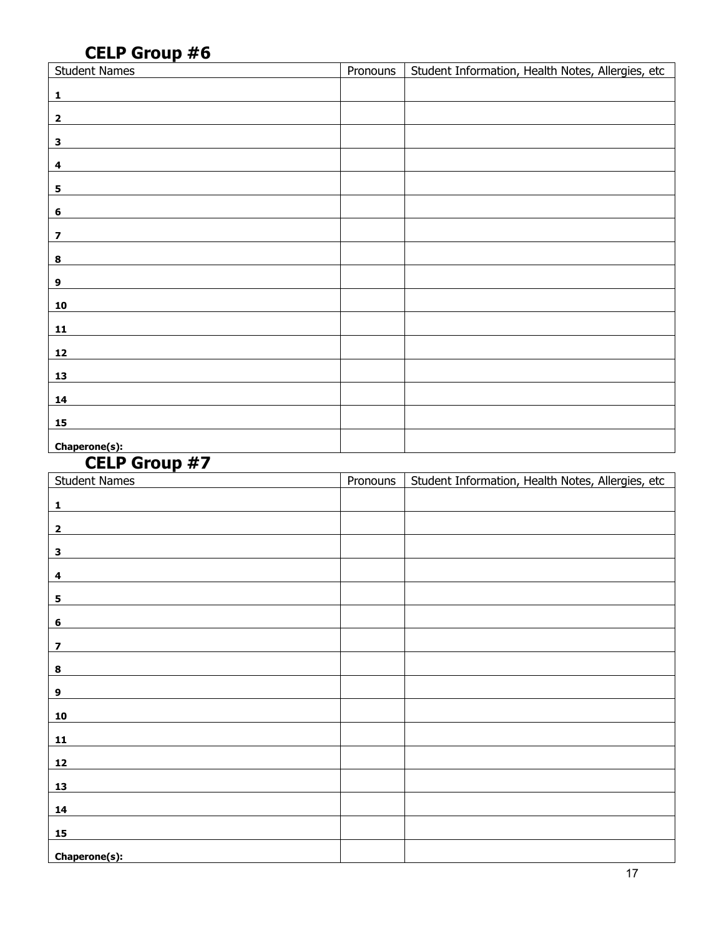| <b>Student Names</b>    | Pronouns | Student Information, Health Notes, Allergies, etc |
|-------------------------|----------|---------------------------------------------------|
| $\mathbf{1}$            |          |                                                   |
| $\overline{\mathbf{2}}$ |          |                                                   |
| $\overline{\mathbf{3}}$ |          |                                                   |
| $\overline{\mathbf{4}}$ |          |                                                   |
| $\overline{\mathbf{5}}$ |          |                                                   |
| $\bf 6$                 |          |                                                   |
| $\boldsymbol{7}$        |          |                                                   |
| $\bf{8}$                |          |                                                   |
| $\overline{9}$          |          |                                                   |
| 10                      |          |                                                   |
| 11                      |          |                                                   |
| $\frac{12}{1}$          |          |                                                   |
| <u>13</u>               |          |                                                   |
| 14                      |          |                                                   |
| 15                      |          |                                                   |
| Chaperone(s):           |          |                                                   |

| - - -<br><b>Student Names</b> | <b>Pronouns</b> | Student Information, Health Notes, Allergies, etc |
|-------------------------------|-----------------|---------------------------------------------------|
|                               |                 |                                                   |
| $\mathbf{1}$                  |                 |                                                   |
| $\overline{2}$                |                 |                                                   |
| $\mathbf{3}$                  |                 |                                                   |
| $\overline{\mathbf{4}}$       |                 |                                                   |
| 5                             |                 |                                                   |
| $\bf 6$                       |                 |                                                   |
| $\overline{\mathbf{z}}$       |                 |                                                   |
| 8                             |                 |                                                   |
| 9                             |                 |                                                   |
| 10                            |                 |                                                   |
| 11                            |                 |                                                   |
| <u>12</u>                     |                 |                                                   |
| <u>13</u>                     |                 |                                                   |
| 14                            |                 |                                                   |
| 15                            |                 |                                                   |
| Chaperone(s):                 |                 |                                                   |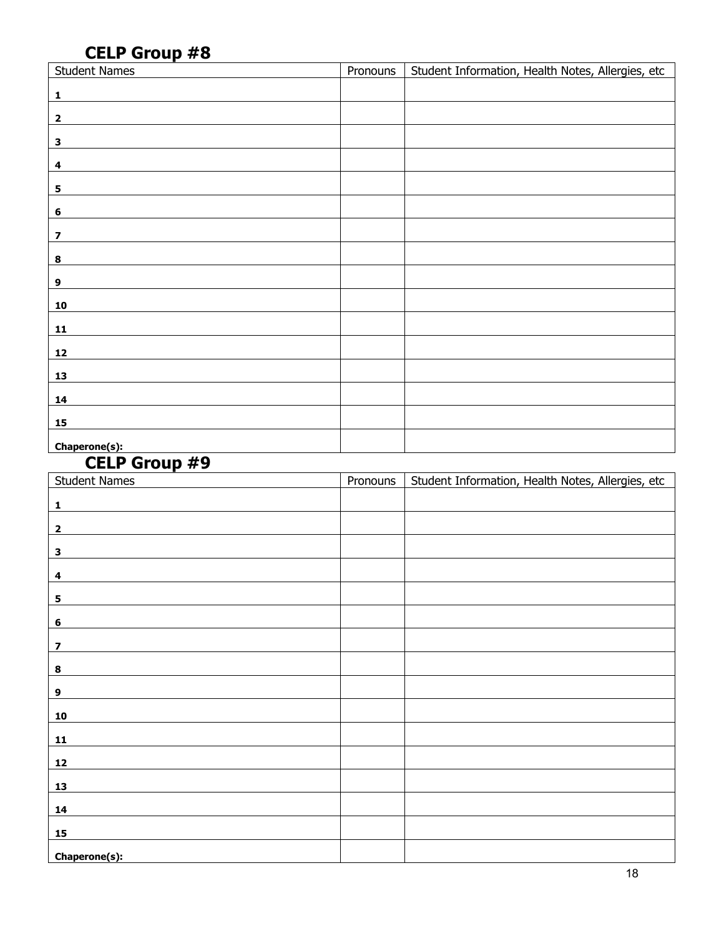| <b>Student Names</b>    | Pronouns | Student Information, Health Notes, Allergies, etc |
|-------------------------|----------|---------------------------------------------------|
| $\mathbf{1}$            |          |                                                   |
| $\overline{\mathbf{2}}$ |          |                                                   |
| $\overline{\mathbf{3}}$ |          |                                                   |
| $\overline{\mathbf{4}}$ |          |                                                   |
| $\overline{\mathbf{5}}$ |          |                                                   |
| $\bf 6$                 |          |                                                   |
| $\boldsymbol{7}$        |          |                                                   |
| $\bf{8}$                |          |                                                   |
| $\overline{9}$          |          |                                                   |
| ${\bf 10}$              |          |                                                   |
| 11                      |          |                                                   |
| $\frac{12}{1}$          |          |                                                   |
| <u>13</u>               |          |                                                   |
| 14                      |          |                                                   |
| 15                      |          |                                                   |
| Chaperone(s):           |          |                                                   |

| $ -$<br><b>Student Names</b> | <b>Pronouns</b> | Student Information, Health Notes, Allergies, etc |
|------------------------------|-----------------|---------------------------------------------------|
|                              |                 |                                                   |
| $\mathbf{1}$                 |                 |                                                   |
| $\overline{2}$               |                 |                                                   |
| $\mathbf{3}$                 |                 |                                                   |
| $\overline{\mathbf{4}}$      |                 |                                                   |
| 5                            |                 |                                                   |
| $\bf 6$                      |                 |                                                   |
| $\overline{\mathbf{z}}$      |                 |                                                   |
| 8                            |                 |                                                   |
| 9                            |                 |                                                   |
| 10                           |                 |                                                   |
| 11                           |                 |                                                   |
| <u>12</u>                    |                 |                                                   |
| <u>13</u>                    |                 |                                                   |
| 14                           |                 |                                                   |
| 15                           |                 |                                                   |
| Chaperone(s):                |                 |                                                   |